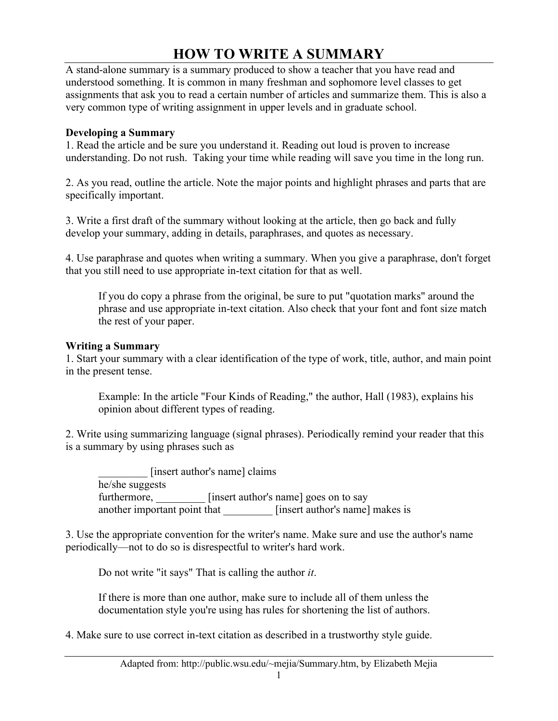# **HOW TO WRITE A SUMMARY**

A stand-alone summary is a summary produced to show a teacher that you have read and understood something. It is common in many freshman and sophomore level classes to get assignments that ask you to read a certain number of articles and summarize them. This is also a very common type of writing assignment in upper levels and in graduate school.

### **Developing a Summary**

1. Read the article and be sure you understand it. Reading out loud is proven to increase understanding. Do not rush. Taking your time while reading will save you time in the long run.

2. As you read, outline the article. Note the major points and highlight phrases and parts that are specifically important.

3. Write a first draft of the summary without looking at the article, then go back and fully develop your summary, adding in details, paraphrases, and quotes as necessary.

4. Use paraphrase and quotes when writing a summary. When you give a paraphrase, don't forget that you still need to use appropriate in-text citation for that as well.

If you do copy a phrase from the original, be sure to put "quotation marks" around the phrase and use appropriate in-text citation. Also check that your font and font size match the rest of your paper.

#### **Writing a Summary**

1. Start your summary with a clear identification of the type of work, title, author, and main point in the present tense.

Example: In the article "Four Kinds of Reading," the author, Hall (1983), explains his opinion about different types of reading.

2. Write using summarizing language (signal phrases). Periodically remind your reader that this is a summary by using phrases such as

[insert author's name] claims he/she suggests furthermore, [insert author's name] goes on to say another important point that [insert author's name] makes is

3. Use the appropriate convention for the writer's name. Make sure and use the author's name periodically—not to do so is disrespectful to writer's hard work.

Do not write "it says" That is calling the author *it*.

If there is more than one author, make sure to include all of them unless the documentation style you're using has rules for shortening the list of authors.

4. Make sure to use correct in-text citation as described in a trustworthy style guide.